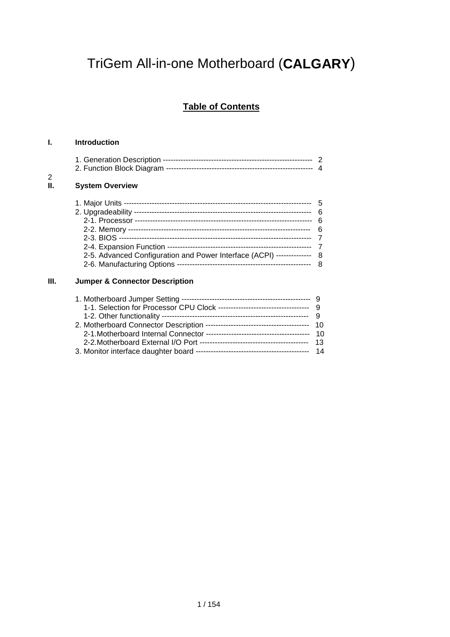# TriGem All-in-one Motherboard (**CALGARY**)

# **Table of Contents**

### **I. Introduction**

 $\frac{2}{\mathsf{II}}$ .

| 2<br>П. | <b>System Overview</b>                                                |   |
|---------|-----------------------------------------------------------------------|---|
|         |                                                                       |   |
|         |                                                                       |   |
|         |                                                                       |   |
|         |                                                                       |   |
|         |                                                                       |   |
|         |                                                                       |   |
|         | 2-5. Advanced Configuration and Power Interface (ACPI) -------------- |   |
|         | 2-6. Manufacturing Options                                            | 8 |

### **III. Jumper & Connector Description**

| 1-1. Selection for Processor CPU Clock ----------------------------------- 9 |  |
|------------------------------------------------------------------------------|--|
|                                                                              |  |
|                                                                              |  |
|                                                                              |  |
|                                                                              |  |
|                                                                              |  |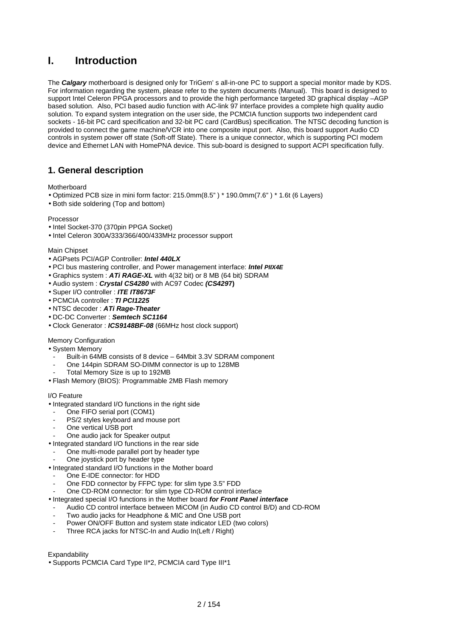# **I. Introduction**

The *Calgary* motherboard is designed only for TriGem' s all-in-one PC to support a special monitor made by KDS. For information regarding the system, please refer to the system documents (Manual). This board is designed to support Intel Celeron PPGA processors and to provide the high performance targeted 3D graphical display –AGP based solution. Also, PCI based audio function with AC-link 97 interface provides a complete high quality audio solution. To expand system integration on the user side, the PCMCIA function supports two independent card sockets - 16-bit PC card specification and 32-bit PC card (CardBus) specification. The NTSC decoding function is provided to connect the game machine/VCR into one composite input port. Also, this board support Audio CD controls in system power off state (Soft-off State). There is a unique connector, which is supporting PCI modem device and Ethernet LAN with HomePNA device. This sub-board is designed to support ACPI specification fully.

### **1. General description**

**Motherboard** 

- Optimized PCB size in mini form factor: 215.0mm(8.5" ) \* 190.0mm(7.6" ) \* 1.6t (6 Layers)
- Both side soldering (Top and bottom)

### Processor

- Intel Socket-370 (370pin PPGA Socket)
- Intel Celeron 300A/333/366/400/433MHz processor support

### Main Chipset

- AGPsets PCI/AGP Controller: *Intel 440LX*
- PCI bus mastering controller, and Power management interface: *Intel PIIX4E*
- Graphics system : *ATi RAGE-XL* with 4(32 bit) or 8 MB (64 bit) SDRAM
- Audio system : *Crystal CS4280* with AC97 Codec *(CS429***7)**
- Super I/O controller : *ITE IT8673F*
- PCMCIA controller : *TI PCI1225*
- NTSC decoder : *ATi Rage-Theater*
- DC-DC Converter : *Semtech SC1164*
- Clock Generator : *ICS9148BF-08* (66MHz host clock support)

### Memory Configuration

- System Memory
- Built-in 64MB consists of 8 device 64Mbit 3.3V SDRAM component
- One 144pin SDRAM SO-DIMM connector is up to 128MB
- Total Memory Size is up to 192MB
- Flash Memory (BIOS): Programmable 2MB Flash memory

### I/O Feature

- Integrated standard I/O functions in the right side
- One FIFO serial port (COM1)
- PS/2 styles keyboard and mouse port
- One vertical USB port
- One audio jack for Speaker output
- Integrated standard I/O functions in the rear side
- One multi-mode parallel port by header type
- One joystick port by header type
- Integrated standard I/O functions in the Mother board
- One E-IDE connector: for HDD
- One FDD connector by FFPC type: for slim type 3.5" FDD
- One CD-ROM connector: for slim type CD-ROM control interface
- Integrated special I/O functions in the Mother board *for Front Panel interface*
- Audio CD control interface between MiCOM (in Audio CD control B/D) and CD-ROM
- Two audio jacks for Headphone & MIC and One USB port
- Power ON/OFF Button and system state indicator LED (two colors)
- Three RCA jacks for NTSC-In and Audio In(Left / Right)

Expandability

• Supports PCMCIA Card Type II\*2, PCMCIA card Type III\*1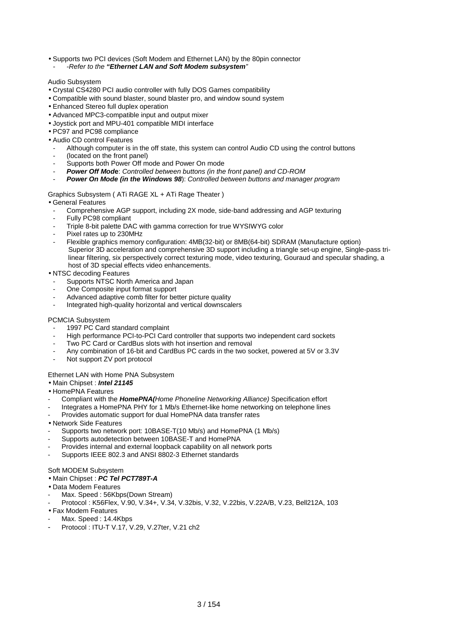- Supports two PCI devices (Soft Modem and Ethernet LAN) by the 80pin connector
- *-Refer to the "Ethernet LAN and Soft Modem subsystem"*

#### Audio Subsystem

- Crystal CS4280 PCI audio controller with fully DOS Games compatibility
- Compatible with sound blaster, sound blaster pro, and window sound system
- Enhanced Stereo full duplex operation
- Advanced MPC3-compatible input and output mixer
- Joystick port and MPU-401 compatible MIDI interface
- PC97 and PC98 compliance
- Audio CD control Features
- Although computer is in the off state, this system can control Audio CD using the control buttons
- (located on the front panel)
- Supports both Power Off mode and Power On mode
- *Power Off Mod***e**: *Controlled between buttons (in the front panel) and CD-ROM*
- *Power On Mode (in the Windows 98*): *Controlled between buttons and manager program*

#### Graphics Subsystem ( ATi RAGE XL + ATi Rage Theater )

### • General Features

- Comprehensive AGP support, including 2X mode, side-band addressing and AGP texturing
- Fully PC98 compliant
- Triple 8-bit palette DAC with gamma correction for true WYSIWYG color
- Pixel rates up to 230MHz
- Flexible graphics memory configuration: 4MB(32-bit) or 8MB(64-bit) SDRAM (Manufacture option) Superior 3D acceleration and comprehensive 3D support including a triangle set-up engine, Single-pass tri linear filtering, six perspectively correct texturing mode, video texturing, Gouraud and specular shading, a host of 3D special effects video enhancements.
- NTSC decoding Features
- Supports NTSC North America and Japan
- One Composite input format support
- Advanced adaptive comb filter for better picture quality
- Integrated high-quality horizontal and vertical downscalers

#### PCMCIA Subsystem

- 1997 PC Card standard complaint
- High performance PCI-to-PCI Card controller that supports two independent card sockets
- Two PC Card or CardBus slots with hot insertion and removal
- Any combination of 16-bit and CardBus PC cards in the two socket, powered at 5V or 3.3V
- Not support ZV port protocol

### Ethernet LAN with Home PNA Subsystem

- Main Chipset : *Intel 21145*
- HomePNA Features
- Compliant with the *HomePNA(Home Phoneline Networking Alliance)* Specification effort
- Integrates a HomePNA PHY for 1 Mb/s Ethernet-like home networking on telephone lines
- Provides automatic support for dual HomePNA data transfer rates
- Network Side Features
- Supports two network port: 10BASE-T(10 Mb/s) and HomePNA (1 Mb/s)
- Supports autodetection between 10BASE-T and HomePNA
- Provides internal and external loopback capability on all network ports
- Supports IEEE 802.3 and ANSI 8802-3 Ethernet standards

### Soft MODEM Subsystem

#### • Main Chipset : *PC Tel PCT789T-A*

- Data Modem Features
- Max. Speed: 56Kbps(Down Stream)
- Protocol : K56Flex, V.90, V.34+, V.34, V.32bis, V.32, V.22bis, V.22A/B, V.23, Bell212A, 103
- Fax Modem Features
- Max. Speed: 14.4Kbps
- Protocol : ITU-T V.17, V.29, V.27ter, V.21 ch2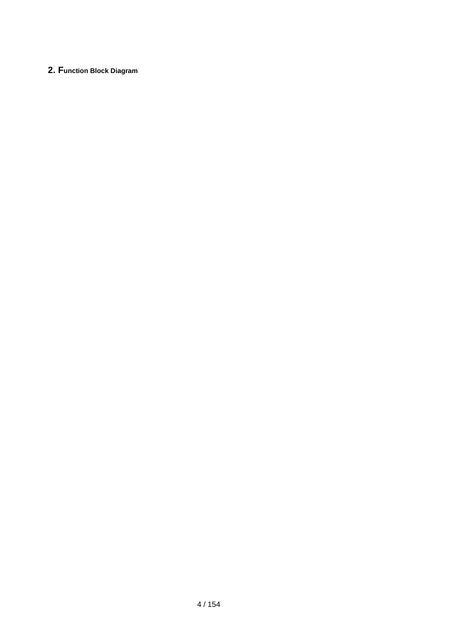### **2. Function Block Diagram**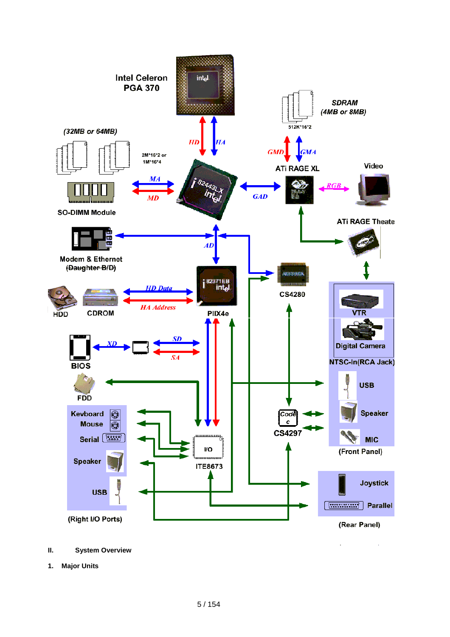

- **II. System Overview**
- **1. Major Units**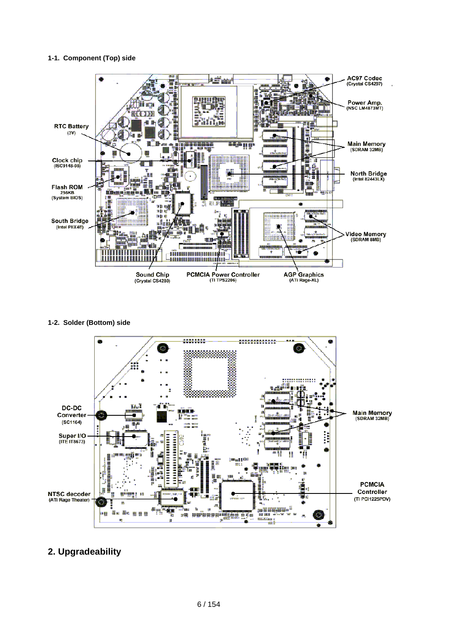### **1-1. Component (Top) side**



**1-2. Solder (Bottom) side**



# **2. Upgradeability**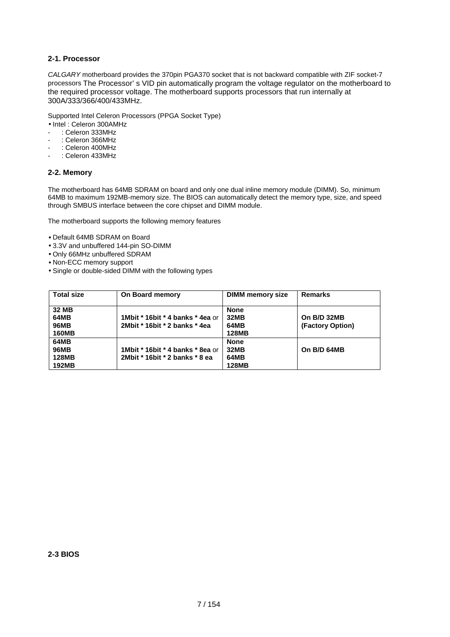### **2-1. Processor**

*CALGARY* motherboard provides the 370pin PGA370 socket that is not backward compatible with ZIF socket-7 processors The Processor' s VID pin automatically program the voltage regulator on the motherboard to the required processor voltage. The motherboard supports processors that run internally at 300A/333/366/400/433MHz.

Supported Intel Celeron Processors (PPGA Socket Type)

- Intel : Celeron 300AMHz
- : Celeron 333MHz
- : Celeron 366MHz
- : Celeron 400MHz
- : Celeron 433MHz

### **2-2. Memory**

The motherboard has 64MB SDRAM on board and only one dual inline memory module (DIMM). So, minimum 64MB to maximum 192MB-memory size. The BIOS can automatically detect the memory type, size, and speed through SMBUS interface between the core chipset and DIMM module.

The motherboard supports the following memory features

- Default 64MB SDRAM on Board
- 3.3V and unbuffered 144-pin SO-DIMM
- Only 66MHz unbuffered SDRAM
- Non-ECC memory support
- Single or double-sided DIMM with the following types

| <b>Total size</b>                                   | On Board memory                                                    | <b>DIMM</b> memory size                            | <b>Remarks</b>                  |
|-----------------------------------------------------|--------------------------------------------------------------------|----------------------------------------------------|---------------------------------|
| 32 MB<br>64MB<br><b>96MB</b><br><b>160MB</b>        | 1Mbit * 16bit * 4 banks * 4ea or<br>2Mbit * 16bit * 2 banks * 4ea  | <b>None</b><br><b>32MB</b><br>64MB<br><b>128MB</b> | On B/D 32MB<br>(Factory Option) |
| 64MB<br><b>96MB</b><br><b>128MB</b><br><b>192MB</b> | 1Mbit * 16bit * 4 banks * 8ea or<br>2Mbit * 16bit * 2 banks * 8 ea | <b>None</b><br><b>32MB</b><br>64MB<br><b>128MB</b> | On B/D 64MB                     |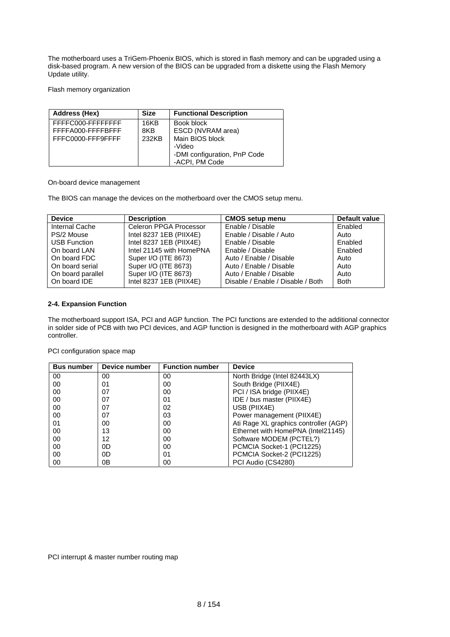The motherboard uses a TriGem-Phoenix BIOS, which is stored in flash memory and can be upgraded using a disk-based program. A new version of the BIOS can be upgraded from a diskette using the Flash Memory Update utility.

Flash memory organization

| <b>Address (Hex)</b>                   | <b>Size</b> | <b>Functional Description</b>                  |
|----------------------------------------|-------------|------------------------------------------------|
| FFFFC000-FFFFFFFF<br>FFFFA000-FFFFBFFF | 16KB<br>8KB | Book block<br>ESCD (NVRAM area)                |
| FFFC0000-FFF9FFFF                      | 232KB       | Main BIOS block                                |
|                                        |             | -Video                                         |
|                                        |             | -DMI configuration, PnP Code<br>-ACPI, PM Code |

On-board device management

The BIOS can manage the devices on the motherboard over the CMOS setup menu.

| <b>Device</b>       | <b>Description</b>       | <b>CMOS setup menu</b>            | Default value |
|---------------------|--------------------------|-----------------------------------|---------------|
| Internal Cache      | Celeron PPGA Processor   | Enable / Disable                  | Enabled       |
| PS/2 Mouse          | Intel 8237 1EB (PIIX4E)  | Enable / Disable / Auto           | Auto          |
| <b>USB Function</b> | Intel 8237 1EB (PIIX4E)  | Enable / Disable                  | Enabled       |
| On board LAN        | Intel 21145 with HomePNA | Enable / Disable                  | Enabled       |
| On board FDC        | Super I/O (ITE 8673)     | Auto / Enable / Disable           | Auto          |
| On board serial     | Super I/O (ITE 8673)     | Auto / Enable / Disable           | Auto          |
| On board parallel   | Super I/O (ITE 8673)     | Auto / Enable / Disable           | Auto          |
| On board IDE        | Intel 8237 1EB (PIIX4E)  | Disable / Enable / Disable / Both | <b>Both</b>   |

### **2-4. Expansion Function**

The motherboard support ISA, PCI and AGP function. The PCI functions are extended to the additional connector in solder side of PCB with two PCI devices, and AGP function is designed in the motherboard with AGP graphics controller.

PCI configuration space map

| <b>Bus number</b> | Device number | <b>Function number</b> | <b>Device</b>                         |
|-------------------|---------------|------------------------|---------------------------------------|
| 00                | 00            | 00                     | North Bridge (Intel 82443LX)          |
| 00                | 01            | 00                     | South Bridge (PIIX4E)                 |
| 00                | 07            | 00                     | PCI / ISA bridge (PIIX4E)             |
| 00                | 07            | 01                     | IDE / bus master (PIIX4E)             |
| 00                | 07            | 02                     | USB (PIIX4E)                          |
| 00                | 07            | 03                     | Power management (PIIX4E)             |
| 01                | 00            | 00                     | Ati Rage XL graphics controller (AGP) |
| 00                | 13            | 00                     | Ethernet with HomePNA (Intel21145)    |
| 00                | 12            | 00                     | Software MODEM (PCTEL?)               |
| 00                | 0D            | 00                     | PCMCIA Socket-1 (PCI1225)             |
| 00                | 0D            | 01                     | PCMCIA Socket-2 (PCI1225)             |
| 00                | 0Β            | 00                     | PCI Audio (CS4280)                    |

PCI interrupt & master number routing map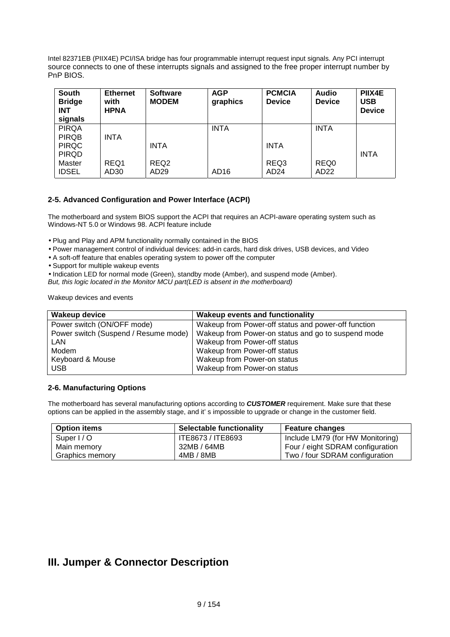Intel 82371EB (PIIX4E) PCI/ISA bridge has four programmable interrupt request input signals. Any PCI interrupt source connects to one of these interrupts signals and assigned to the free proper interrupt number by PnP BIOS.

| <b>South</b><br><b>Bridge</b><br><b>INT</b><br>signals | <b>Ethernet</b><br>with<br><b>HPNA</b> | <b>Software</b><br><b>MODEM</b> | <b>AGP</b><br>graphics | <b>PCMCIA</b><br><b>Device</b> | <b>Audio</b><br><b>Device</b> | PIIX4E<br><b>USB</b><br><b>Device</b> |
|--------------------------------------------------------|----------------------------------------|---------------------------------|------------------------|--------------------------------|-------------------------------|---------------------------------------|
| <b>PIRQA</b>                                           |                                        |                                 | <b>INTA</b>            |                                | <b>INTA</b>                   |                                       |
| <b>PIRQB</b>                                           | <b>INTA</b>                            |                                 |                        |                                |                               |                                       |
| <b>PIRQC</b>                                           |                                        | <b>INTA</b>                     |                        | <b>INTA</b>                    |                               |                                       |
| <b>PIRQD</b>                                           |                                        |                                 |                        |                                |                               | <b>INTA</b>                           |
| Master                                                 | REQ1                                   | REQ <sub>2</sub>                |                        | REQ3                           | REQ0                          |                                       |
| <b>IDSEL</b>                                           | AD30                                   | AD <sub>29</sub>                | AD16                   | AD <sub>24</sub>               | AD <sub>22</sub>              |                                       |

### **2-5. Advanced Configuration and Power Interface (ACPI)**

The motherboard and system BIOS support the ACPI that requires an ACPI-aware operating system such as Windows-NT 5.0 or Windows 98. ACPI feature include

• Plug and Play and APM functionality normally contained in the BIOS

• Power management control of individual devices: add-in cards, hard disk drives, USB devices, and Video

• A soft-off feature that enables operating system to power off the computer

• Support for multiple wakeup events

• Indication LED for normal mode (Green), standby mode (Amber), and suspend mode (Amber).

*But, this logic located in the Monitor MCU part(LED is absent in the motherboard)*

Wakeup devices and events

| <b>Wakeup device</b>                 | <b>Wakeup events and functionality</b>              |
|--------------------------------------|-----------------------------------------------------|
| Power switch (ON/OFF mode)           | Wakeup from Power-off status and power-off function |
| Power switch (Suspend / Resume mode) | Wakeup from Power-on status and go to suspend mode  |
| LAN                                  | Wakeup from Power-off status                        |
| Modem                                | Wakeup from Power-off status                        |
| Keyboard & Mouse                     | Wakeup from Power-on status                         |
| <b>USB</b>                           | Wakeup from Power-on status                         |

### **2-6. Manufacturing Options**

The motherboard has several manufacturing options according to *CUSTOMER* requirement. Make sure that these options can be applied in the assembly stage, and it' s impossible to upgrade or change in the customer field.

| <b>Option items</b> | <b>Selectable functionality</b> | <b>Feature changes</b>           |
|---------------------|---------------------------------|----------------------------------|
| Super $1/O$         | ITE8673 / ITE8693               | Include LM79 (for HW Monitoring) |
| Main memory         | 32MB / 64MB                     | Four / eight SDRAM configuration |
| Graphics memory     | 4MB / 8MB                       | Two / four SDRAM configuration   |

# **III. Jumper & Connector Description**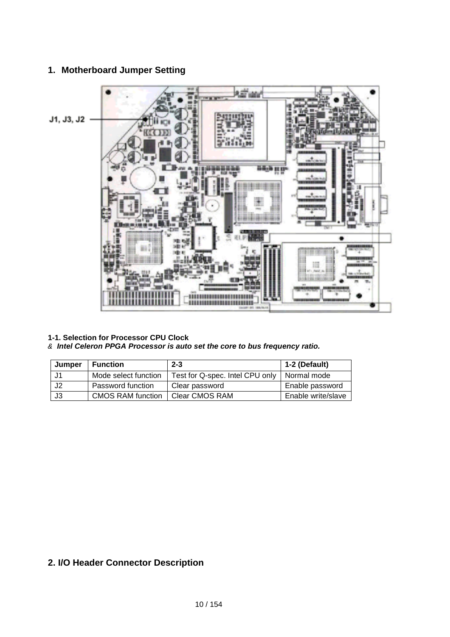### **1. Motherboard Jumper Setting**



**1-1. Selection for Processor CPU Clock**

# & *Intel Celeron PPGA Processor is auto set the core to bus frequency ratio.*

| Jumper | <b>Function</b>          | $2 - 3$                                       | 1-2 (Default)      |
|--------|--------------------------|-----------------------------------------------|--------------------|
| J1     | Mode select function     | Test for Q-spec. Intel CPU only   Normal mode |                    |
| J2     | Password function        | Clear password                                | Enable password    |
| J3     | <b>CMOS RAM function</b> | Clear CMOS RAM                                | Enable write/slave |

# **2. I/O Header Connector Description**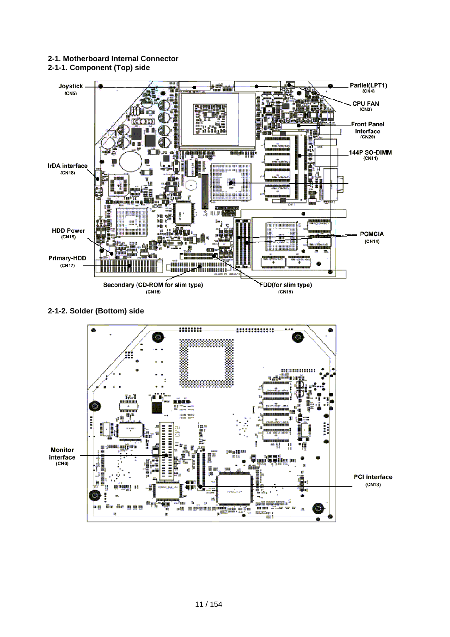### **2-1. Motherboard Internal Connector**

**2-1-1. Component (Top) side**



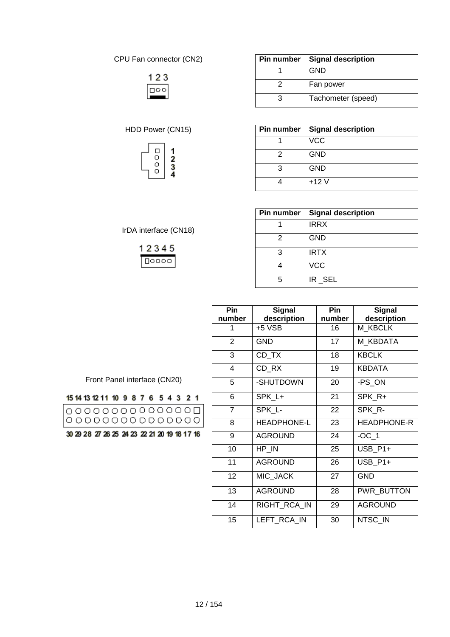CPU Fan connector (CN2)

|  | ¢ | г |
|--|---|---|

# HDD Power (CN15)



IrDA interface (CN18)

12345  $10000$ 

| Pin number | <b>Signal description</b> |
|------------|---------------------------|
|            | <b>GND</b>                |
|            | Fan power                 |
|            | Tachometer (speed)        |

| Pin number | <b>Signal description</b> |
|------------|---------------------------|
|            | <b>VCC</b>                |
| 2          | <b>GND</b>                |
|            | <b>GND</b>                |
|            | $+12V$                    |

| Pin number | <b>Signal description</b> |
|------------|---------------------------|
|            | <b>IRRX</b>               |
| 2          | <b>GND</b>                |
| З          | <b>IRTX</b>               |
|            | <b>VCC</b>                |
| г,         | IR_SEL                    |

| Pin            | Signal             | Pin    | <b>Signal</b>      |  |  |  |
|----------------|--------------------|--------|--------------------|--|--|--|
| number         | description        | number | description        |  |  |  |
| 1              | +5 VSB             | 16     | M KBCLK            |  |  |  |
| $\overline{2}$ | GND                | 17     | M KBDATA           |  |  |  |
| 3              | CD TX              | 18     | <b>KBCLK</b>       |  |  |  |
| 4              | CD_RX              | 19     | <b>KBDATA</b>      |  |  |  |
| 5              | -SHUTDOWN          | 20     | -PS_ON             |  |  |  |
| 6              | SPK L+             | 21     | SPK R+             |  |  |  |
| $\overline{7}$ | SPK L-             | 22     | SPK R-             |  |  |  |
| 8              | <b>HEADPHONE-L</b> | 23     | <b>HEADPHONE-R</b> |  |  |  |
| 9              | <b>AGROUND</b>     | 24     | $-OC$ 1            |  |  |  |
| 10             | HP_IN              | 25     | USB P1+            |  |  |  |
| 11             | <b>AGROUND</b>     | 26     | USB_P1+            |  |  |  |
| 12             | MIC JACK           | 27     | <b>GND</b>         |  |  |  |
| 13             | <b>AGROUND</b>     | 28     | PWR_BUTTON         |  |  |  |
| 14             | RIGHT_RCA_IN       | 29     | <b>AGROUND</b>     |  |  |  |
| 15             | LEFT RCA IN        | 30     | NTSC IN            |  |  |  |

Front Panel interface (CN20)

| 15 14 13 12 11 10 9 8 7 6 5 4 3 2 1          |  |  |  |  |  |  |
|----------------------------------------------|--|--|--|--|--|--|
|                                              |  |  |  |  |  |  |
| 30 29 28 27 26 25 24 23 22 21 20 19 18 17 16 |  |  |  |  |  |  |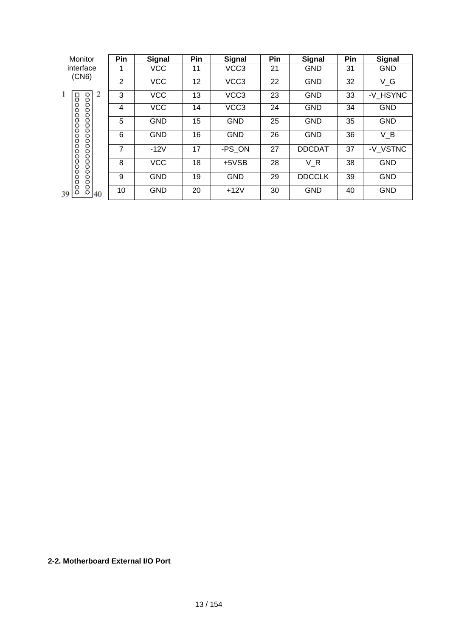| Monitor                         | Pin            | <b>Signal</b> | Pin | <b>Signal</b>    | Pin | <b>Signal</b> | Pin | <b>Signal</b> |
|---------------------------------|----------------|---------------|-----|------------------|-----|---------------|-----|---------------|
| interface<br>(CN6)              |                | <b>VCC</b>    | 11  | VCC <sub>3</sub> | 21  | <b>GND</b>    | 31  | <b>GND</b>    |
|                                 | $\overline{2}$ | <b>VCC</b>    | 12  | VCC <sub>3</sub> | 22  | <b>GND</b>    | 32  | V G           |
| ı<br>2                          | 3              | <b>VCC</b>    | 13  | VCC <sub>3</sub> | 23  | <b>GND</b>    | 33  | -V HSYNC      |
|                                 | 4              | <b>VCC</b>    | 14  | VCC <sub>3</sub> | 24  | <b>GND</b>    | 34  | <b>GND</b>    |
|                                 | 5              | <b>GND</b>    | 15  | <b>GND</b>       | 25  | <b>GND</b>    | 35  | <b>GND</b>    |
| 0000000000000000<br>00000000000 | 6              | <b>GND</b>    | 16  | <b>GND</b>       | 26  | <b>GND</b>    | 36  | $V_B$         |
|                                 | 7              | $-12V$        | 17  | -PS ON           | 27  | <b>DDCDAT</b> | 37  | -V VSTNC      |
| 0000000                         | 8              | <b>VCC</b>    | 18  | $+5VSB$          | 28  | VR            | 38  | <b>GND</b>    |
|                                 | 9              | <b>GND</b>    | 19  | <b>GND</b>       | 29  | <b>DDCCLK</b> | 39  | <b>GND</b>    |
| ۰<br>39.<br>40                  | 10             | <b>GND</b>    | 20  | $+12V$           | 30  | <b>GND</b>    | 40  | <b>GND</b>    |

# **2-2. Motherboard External I/O Port**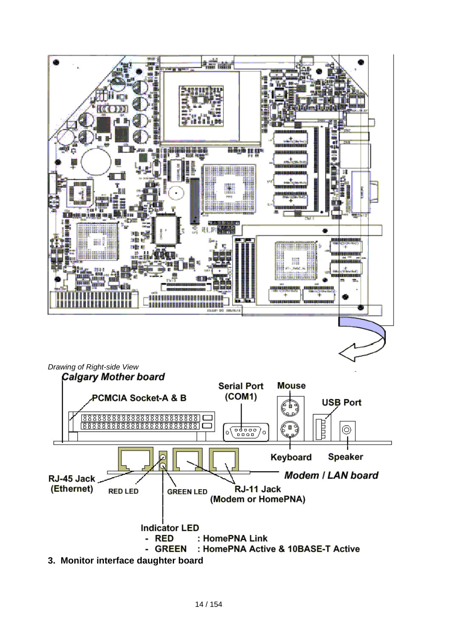

**3. Monitor interface daughter board**